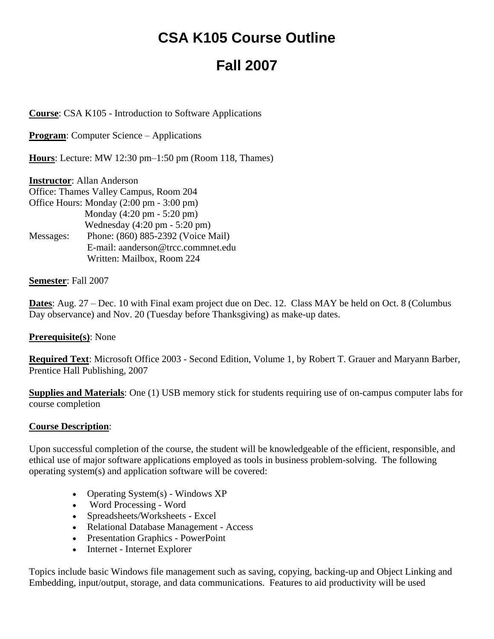# **CSA K105 Course Outline**

# **Fall 2007**

**Course**: CSA K105 - Introduction to Software Applications

**Program:** Computer Science – Applications

**Hours**: Lecture: MW 12:30 pm–1:50 pm (Room 118, Thames)

**Instructor**: Allan Anderson Office: Thames Valley Campus, Room 204 Office Hours: Monday (2:00 pm - 3:00 pm) Monday (4:20 pm - 5:20 pm) Wednesday (4:20 pm - 5:20 pm) Messages: Phone: (860) 885-2392 (Voice Mail) E-mail: aanderson@trcc.commnet.edu Written: Mailbox, Room 224

#### **Semester**: Fall 2007

**Dates**: Aug. 27 – Dec. 10 with Final exam project due on Dec. 12. Class MAY be held on Oct. 8 (Columbus Day observance) and Nov. 20 (Tuesday before Thanksgiving) as make-up dates.

#### **Prerequisite(s)**: None

**Required Text**: Microsoft Office 2003 - Second Edition, Volume 1, by Robert T. Grauer and Maryann Barber, Prentice Hall Publishing, 2007

**Supplies and Materials**: One (1) USB memory stick for students requiring use of on-campus computer labs for course completion

#### **Course Description**:

Upon successful completion of the course, the student will be knowledgeable of the efficient, responsible, and ethical use of major software applications employed as tools in business problem-solving. The following operating system(s) and application software will be covered:

- Operating System(s) Windows XP
- Word Processing Word
- Spreadsheets/Worksheets Excel
- Relational Database Management Access
- Presentation Graphics PowerPoint
- Internet Internet Explorer

Topics include basic Windows file management such as saving, copying, backing-up and Object Linking and Embedding, input/output, storage, and data communications. Features to aid productivity will be used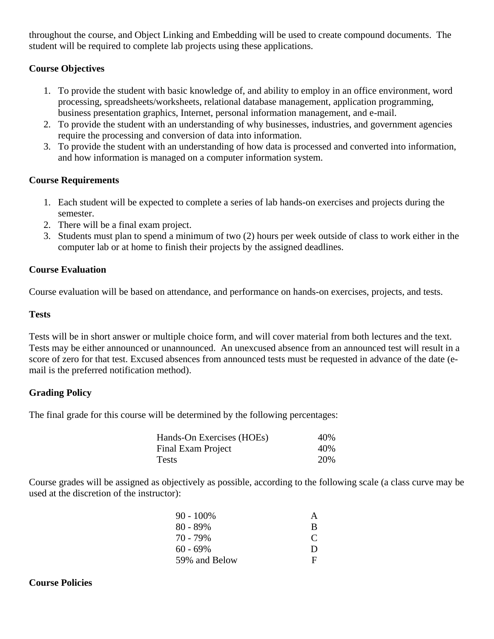throughout the course, and Object Linking and Embedding will be used to create compound documents. The student will be required to complete lab projects using these applications.

# **Course Objectives**

- 1. To provide the student with basic knowledge of, and ability to employ in an office environment, word processing, spreadsheets/worksheets, relational database management, application programming, business presentation graphics, Internet, personal information management, and e-mail.
- 2. To provide the student with an understanding of why businesses, industries, and government agencies require the processing and conversion of data into information.
- 3. To provide the student with an understanding of how data is processed and converted into information, and how information is managed on a computer information system.

# **Course Requirements**

- 1. Each student will be expected to complete a series of lab hands-on exercises and projects during the semester.
- 2. There will be a final exam project.
- 3. Students must plan to spend a minimum of two (2) hours per week outside of class to work either in the computer lab or at home to finish their projects by the assigned deadlines.

# **Course Evaluation**

Course evaluation will be based on attendance, and performance on hands-on exercises, projects, and tests.

#### **Tests**

Tests will be in short answer or multiple choice form, and will cover material from both lectures and the text. Tests may be either announced or unannounced. An unexcused absence from an announced test will result in a score of zero for that test. Excused absences from announced tests must be requested in advance of the date (email is the preferred notification method).

#### **Grading Policy**

The final grade for this course will be determined by the following percentages:

| Hands-On Exercises (HOEs) | 40% |
|---------------------------|-----|
| Final Exam Project        | 40% |
| Tests                     | 20% |

Course grades will be assigned as objectively as possible, according to the following scale (a class curve may be used at the discretion of the instructor):

| 90 - 100%     | A            |
|---------------|--------------|
| 80 - 89%      | B            |
| 70 - 79%      | $\mathbf{C}$ |
| 60 - 69%      | Ð            |
| 59% and Below | Е.           |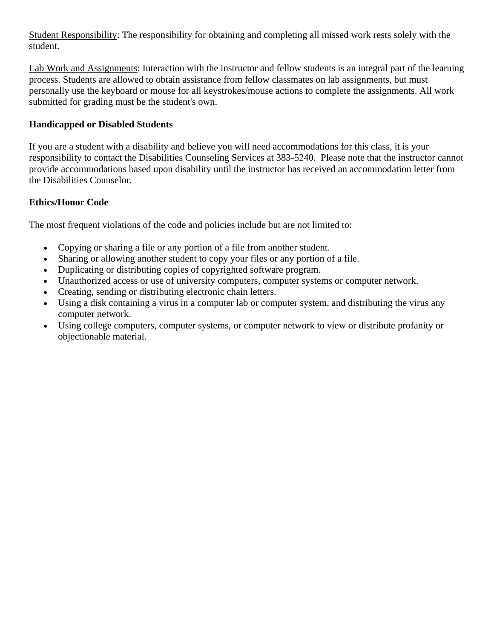Student Responsibility: The responsibility for obtaining and completing all missed work rests solely with the student.

Lab Work and Assignments: Interaction with the instructor and fellow students is an integral part of the learning process. Students are allowed to obtain assistance from fellow classmates on lab assignments, but must personally use the keyboard or mouse for all keystrokes/mouse actions to complete the assignments. All work submitted for grading must be the student's own.

### **Handicapped or Disabled Students**

If you are a student with a disability and believe you will need accommodations for this class, it is your responsibility to contact the Disabilities Counseling Services at 383-5240. Please note that the instructor cannot provide accommodations based upon disability until the instructor has received an accommodation letter from the Disabilities Counselor.

# **Ethics/Honor Code**

The most frequent violations of the code and policies include but are not limited to:

- Copying or sharing a file or any portion of a file from another student.
- Sharing or allowing another student to copy your files or any portion of a file.
- Duplicating or distributing copies of copyrighted software program.
- Unauthorized access or use of university computers, computer systems or computer network.
- Creating, sending or distributing electronic chain letters.
- Using a disk containing a virus in a computer lab or computer system, and distributing the virus any computer network.
- Using college computers, computer systems, or computer network to view or distribute profanity or objectionable material.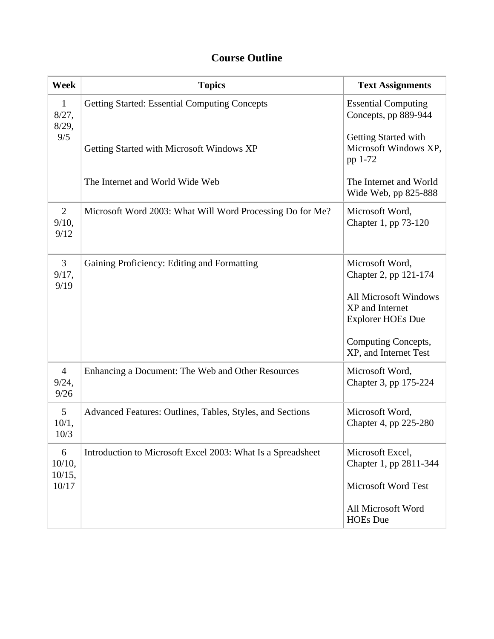# **Course Outline**

| Week                            | <b>Topics</b>                                               | <b>Text Assignments</b>                                                                                                 |
|---------------------------------|-------------------------------------------------------------|-------------------------------------------------------------------------------------------------------------------------|
| $\mathbf{1}$<br>8/27,<br>8/29,  | <b>Getting Started: Essential Computing Concepts</b>        | <b>Essential Computing</b><br>Concepts, pp 889-944                                                                      |
| 9/5                             | Getting Started with Microsoft Windows XP                   | Getting Started with<br>Microsoft Windows XP,<br>pp 1-72                                                                |
|                                 | The Internet and World Wide Web                             | The Internet and World<br>Wide Web, pp 825-888                                                                          |
| $\overline{2}$<br>9/10,<br>9/12 | Microsoft Word 2003: What Will Word Processing Do for Me?   | Microsoft Word,<br>Chapter 1, pp 73-120                                                                                 |
| 3<br>9/17,<br>9/19              | Gaining Proficiency: Editing and Formatting                 | Microsoft Word,<br>Chapter 2, pp 121-174<br><b>All Microsoft Windows</b><br>XP and Internet<br><b>Explorer HOEs Due</b> |
|                                 |                                                             | Computing Concepts,<br>XP, and Internet Test                                                                            |
| $\overline{4}$<br>9/24,<br>9/26 | Enhancing a Document: The Web and Other Resources           | Microsoft Word,<br>Chapter 3, pp 175-224                                                                                |
| 5<br>10/1,<br>10/3              | Advanced Features: Outlines, Tables, Styles, and Sections   | Microsoft Word,<br>Chapter 4, pp 225-280                                                                                |
| 6<br>$10/10$ ,<br>10/15,        | Introduction to Microsoft Excel 2003: What Is a Spreadsheet | Microsoft Excel,<br>Chapter 1, pp 2811-344                                                                              |
| 10/17                           |                                                             | Microsoft Word Test                                                                                                     |
|                                 |                                                             | All Microsoft Word<br><b>HOEs</b> Due                                                                                   |